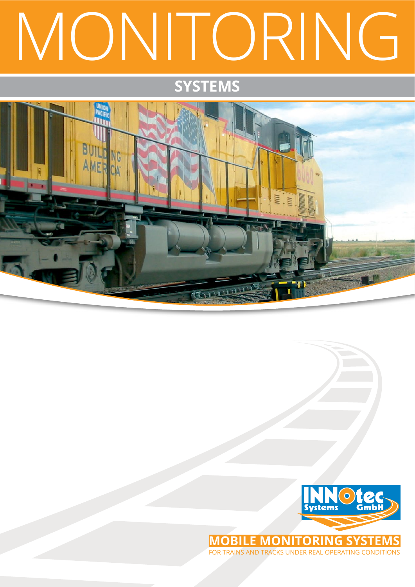## MONITORING

## **SyStemS**





for trains and tracks under real operating conditions